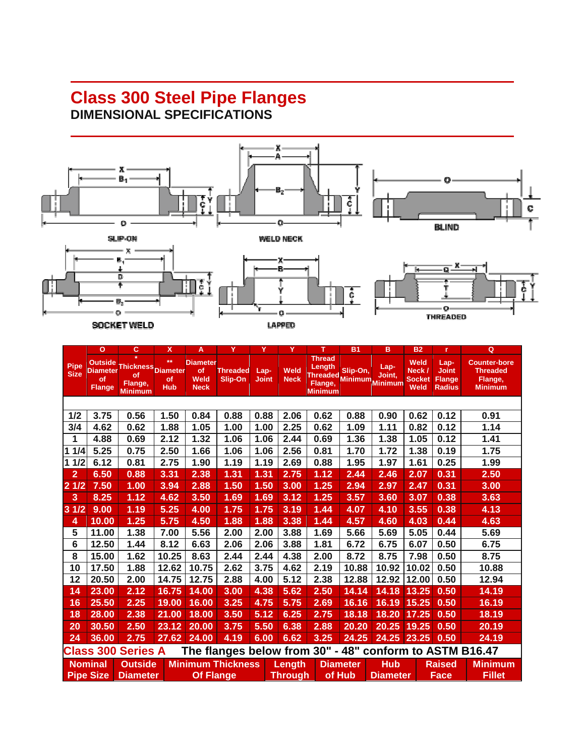## **Class 300 Steel Pipe Flanges DIMENSIONAL SPECIFICATIONS**



|                                                                                      | $\circ$                                           | c                                                   | X                                           | A                                            | Y                          | Y                    | Ÿ                   | т                                                                        | <b>B1</b>       | в                         | <b>B2</b>                                             | r                                                      | Q                                                                   |
|--------------------------------------------------------------------------------------|---------------------------------------------------|-----------------------------------------------------|---------------------------------------------|----------------------------------------------|----------------------------|----------------------|---------------------|--------------------------------------------------------------------------|-----------------|---------------------------|-------------------------------------------------------|--------------------------------------------------------|---------------------------------------------------------------------|
| <b>Pipe</b><br><b>Size</b>                                                           | <b>Outside</b><br>Diameter<br>of<br><b>Flange</b> | <b>Thickness</b><br>of<br>Flange,<br><b>Minimum</b> | $**$<br><b>Diameter</b><br>of<br><b>Hub</b> | <b>Diameter</b><br>of<br>Weld<br><b>Neck</b> | <b>Threaded</b><br>Slip-On | Lap-<br><b>Joint</b> | Weld<br><b>Neck</b> | <b>Thread</b><br>Length<br>Threaded Minimum<br>Flange,<br><b>Minimum</b> | Slip-On,        | Lap-<br>Joint,<br>Minimum | <b>Weld</b><br>Neck /<br><b>Socket</b><br><b>Weld</b> | Lap-<br><b>Joint</b><br><b>Flange</b><br><b>Radius</b> | <b>Counter-bore</b><br><b>Threaded</b><br>Flange,<br><b>Minimum</b> |
|                                                                                      |                                                   |                                                     |                                             |                                              |                            |                      |                     |                                                                          |                 |                           |                                                       |                                                        |                                                                     |
| 1/2                                                                                  | 3.75                                              | 0.56                                                | 1.50                                        | 0.84                                         | 0.88                       | 0.88                 | 2.06                | 0.62                                                                     | 0.88            | 0.90                      | 0.62                                                  | 0.12                                                   | 0.91                                                                |
| 3/4                                                                                  | 4.62                                              | 0.62                                                | 1.88                                        | 1.05                                         | 1.00                       | 1.00                 | 2.25                | 0.62                                                                     | 1.09            | 1.11                      | 0.82                                                  | 0.12                                                   | 1.14                                                                |
| 1                                                                                    | 4.88                                              | 0.69                                                | 2.12                                        | 1.32                                         | 1.06                       | 1.06                 | 2.44                | 0.69                                                                     | 1.36            | 1.38                      | 1.05                                                  | 0.12                                                   | 1.41                                                                |
| 11/4                                                                                 | 5.25                                              | 0.75                                                | 2.50                                        | 1.66                                         | 1.06                       | 1.06                 | 2.56                | 0.81                                                                     | 1.70            | 1.72                      | 1.38                                                  | 0.19                                                   | 1.75                                                                |
| 1/2                                                                                  | 6.12                                              | 0.81                                                | 2.75                                        | 1.90                                         | 1.19                       | 1.19                 | 2.69                | 0.88                                                                     | 1.95            | 1.97                      | 1.61                                                  | 0.25                                                   | 1.99                                                                |
| $\overline{\mathbf{2}}$                                                              | 6.50                                              | 0.88                                                | 3.31                                        | 2.38                                         | 1.31                       | 1.31                 | 2.75                | 1.12                                                                     | 2.44            | 2.46                      | 2.07                                                  | 0.31                                                   | 2.50                                                                |
| 21/2                                                                                 | 7.50                                              | 1.00                                                | 3.94                                        | 2.88                                         | 1.50                       | 1.50                 | 3.00                | 1.25                                                                     | 2.94            | 2.97                      | 2.47                                                  | 0.31                                                   | 3.00                                                                |
| 3                                                                                    | 8.25                                              | 1.12                                                | 4.62                                        | 3.50                                         | 1.69                       | 1.69                 | 3.12                | 1.25                                                                     | 3.57            | 3.60                      | 3.07                                                  | 0.38                                                   | 3.63                                                                |
| 31/2                                                                                 | 9.00                                              | 1.19                                                | 5.25                                        | 4.00                                         | 1.75                       | 1.75                 | 3.19                | 1.44                                                                     | 4.07            | 4.10                      | 3.55                                                  | 0.38                                                   | 4.13                                                                |
| 4                                                                                    | 10.00                                             | 1.25                                                | 5.75                                        | 4.50                                         | 1.88                       | 1.88                 | 3.38                | 1.44                                                                     | 4.57            | 4.60                      | 4.03                                                  | 0.44                                                   | 4.63                                                                |
| 5                                                                                    | 11.00                                             | 1.38                                                | 7.00                                        | 5.56                                         | 2.00                       | 2.00                 | 3.88                | 1.69                                                                     | 5.66            | 5.69                      | 5.05                                                  | 0.44                                                   | 5.69                                                                |
| 6                                                                                    | 12.50                                             | 1.44                                                | 8.12                                        | 6.63                                         | 2.06                       | 2.06                 | 3.88                | 1.81                                                                     | 6.72            | 6.75                      | 6.07                                                  | 0.50                                                   | 6.75                                                                |
| 8                                                                                    | 15.00                                             | 1.62                                                | 10.25                                       | 8.63                                         | 2.44                       | 2.44                 | 4.38                | 2.00                                                                     | 8.72            | 8.75                      | 7.98                                                  | 0.50                                                   | 8.75                                                                |
| 10                                                                                   | 17.50                                             | 1.88                                                | 12.62                                       | 10.75                                        | 2.62                       | 3.75                 | 4.62                | 2.19                                                                     | 10.88           | 10.92                     | 10.02                                                 | 0.50                                                   | 10.88                                                               |
| 12                                                                                   | 20.50                                             | 2.00                                                | 14.75                                       | 12.75                                        | 2.88                       | 4.00                 | 5.12                | 2.38                                                                     | 12.88           | 12.92                     | 12.00                                                 | 0.50                                                   | 12.94                                                               |
| 14                                                                                   | 23.00                                             | 2.12                                                | 16.75                                       | 14.00                                        | 3.00                       | 4.38                 | 5.62                | 2.50                                                                     | 14.14           | 14.18                     | 13.25                                                 | 0.50                                                   | 14.19                                                               |
| 16                                                                                   | 25.50                                             | 2.25                                                | 19.00                                       | 16.00                                        | 3.25                       | 4.75                 | 5.75                | 2.69                                                                     | 16.16           | 16.19                     | 15.25                                                 | 0.50                                                   | 16.19                                                               |
| 18                                                                                   | 28.00                                             | 2.38                                                | 21.00                                       | 18.00                                        | 3.50                       | 5.12                 | 6.25                | 2.75                                                                     | 18.18           | 18.20                     | 17.25                                                 | 0.50                                                   | 18.19                                                               |
| 20                                                                                   | 30.50                                             | 2.50                                                | 23.12                                       | 20.00                                        | 3.75                       | 5.50                 | 6.38                | 2.88                                                                     | 20.20           | 20.25                     | 19.25                                                 | 0.50                                                   | 20.19                                                               |
| 24                                                                                   | 36.00                                             | 2.75                                                | 27.62                                       | 24.00                                        | 4.19                       | 6.00                 | 6.62                | 3.25                                                                     | 24.25           | 24.25                     | 23.25                                                 | 0.50                                                   | 24.19                                                               |
| The flanges below from 30" - 48" conform to ASTM B16.47<br><b>Class 300 Series A</b> |                                                   |                                                     |                                             |                                              |                            |                      |                     |                                                                          |                 |                           |                                                       |                                                        |                                                                     |
|                                                                                      | <b>Nominal</b>                                    | <b>Outside</b>                                      |                                             |                                              | <b>Minimum Thickness</b>   |                      | Length              |                                                                          | <b>Diameter</b> | <b>Hub</b>                |                                                       | <b>Raised</b>                                          | <b>Minimum</b>                                                      |
|                                                                                      | <b>Pipe Size</b>                                  | <b>Diameter</b>                                     |                                             | <b>Of Flange</b>                             |                            |                      | <b>Through</b>      |                                                                          | of Hub          | <b>Diameter</b>           |                                                       | Face                                                   | <b>Fillet</b>                                                       |